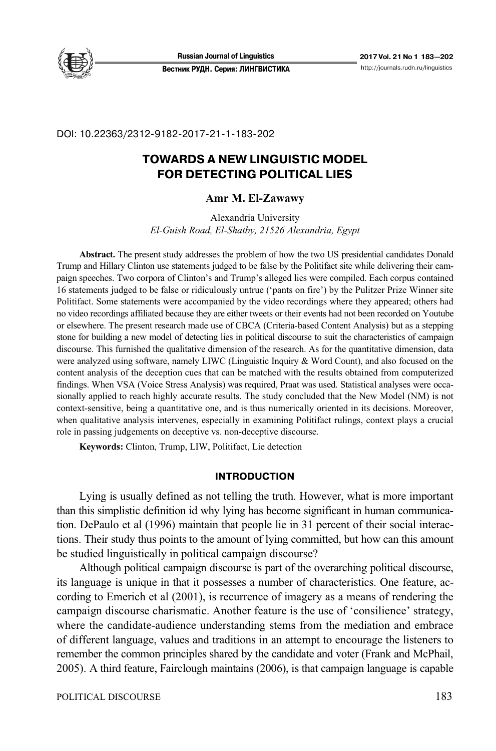

DOI: 10.22363/2312-9182-2017-21-1-183-202

# **TOWARDS A NEW LINGUISTIC MODEL FOR DETECTING POLITICAL LIES**

## **Amr M. El-Zawawy**

Alexandria University *El-Guish Road, El-Shatby, 21526 Alexandria, Egypt* 

**Abstract.** The present study addresses the problem of how the two US presidential candidates Donald Trump and Hillary Clinton use statements judged to be false by the Politifact site while delivering their campaign speeches. Two corpora of Clinton's and Trump's alleged lies were compiled. Each corpus contained 16 statements judged to be false or ridiculously untrue ('pants on fire') by the Pulitzer Prize Winner site Politifact. Some statements were accompanied by the video recordings where they appeared; others had no video recordings affiliated because they are either tweets or their events had not been recorded on Youtube or elsewhere. The present research made use of CBCA (Criteria-based Content Analysis) but as a stepping stone for building a new model of detecting lies in political discourse to suit the characteristics of campaign discourse. This furnished the qualitative dimension of the research. As for the quantitative dimension, data were analyzed using software, namely LIWC (Linguistic Inquiry & Word Count), and also focused on the content analysis of the deception cues that can be matched with the results obtained from computerized findings. When VSA (Voice Stress Analysis) was required, Praat was used. Statistical analyses were occasionally applied to reach highly accurate results. The study concluded that the New Model (NM) is not context-sensitive, being a quantitative one, and is thus numerically oriented in its decisions. Moreover, when qualitative analysis intervenes, especially in examining Politifact rulings, context plays a crucial role in passing judgements on deceptive vs. non-deceptive discourse.

**Keywords:** Clinton, Trump, LIW, Politifact, Lie detection

## **INTRODUCTION**

Lying is usually defined as not telling the truth. However, what is more important than this simplistic definition id why lying has become significant in human communication. DePaulo et al (1996) maintain that people lie in 31 percent of their social interactions. Their study thus points to the amount of lying committed, but how can this amount be studied linguistically in political campaign discourse?

Although political campaign discourse is part of the overarching political discourse, its language is unique in that it possesses a number of characteristics. One feature, according to Emerich et al (2001), is recurrence of imagery as a means of rendering the campaign discourse charismatic. Another feature is the use of 'consilience' strategy, where the candidate-audience understanding stems from the mediation and embrace of different language, values and traditions in an attempt to encourage the listeners to remember the common principles shared by the candidate and voter (Frank and McPhail, 2005). A third feature, Fairclough maintains (2006), is that campaign language is capable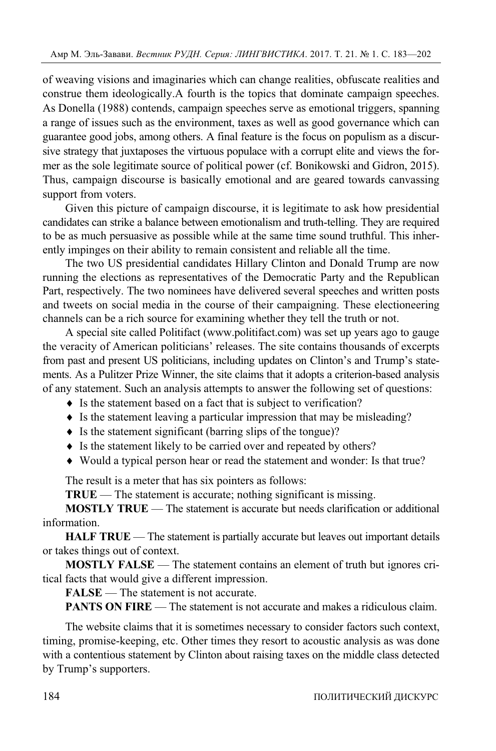of weaving visions and imaginaries which can change realities, obfuscate realities and construe them ideologically.A fourth is the topics that dominate campaign speeches. As Donella (1988) contends, campaign speeches serve as emotional triggers, spanning a range of issues such as the environment, taxes as well as good governance which can guarantee good jobs, among others. A final feature is the focus on populism as a discursive strategy that juxtaposes the virtuous populace with a corrupt elite and views the former as the sole legitimate source of political power (cf. Bonikowski and Gidron, 2015). Thus, campaign discourse is basically emotional and are geared towards canvassing support from voters.

Given this picture of campaign discourse, it is legitimate to ask how presidential candidates can strike a balance between emotionalism and truth-telling. They are required to be as much persuasive as possible while at the same time sound truthful. This inherently impinges on their ability to remain consistent and reliable all the time.

The two US presidential candidates Hillary Clinton and Donald Trump are now running the elections as representatives of the Democratic Party and the Republican Part, respectively. The two nominees have delivered several speeches and written posts and tweets on social media in the course of their campaigning. These electioneering channels can be a rich source for examining whether they tell the truth or not.

A special site called Politifact (www.politifact.com) was set up years ago to gauge the veracity of American politicians' releases. The site contains thousands of excerpts from past and present US politicians, including updates on Clinton's and Trump's statements. As a Pulitzer Prize Winner, the site claims that it adopts a criterion-based analysis of any statement. Such an analysis attempts to answer the following set of questions:

- Is the statement based on a fact that is subject to verification?
- Is the statement leaving a particular impression that may be misleading?
- $\bullet$  Is the statement significant (barring slips of the tongue)?
- Is the statement likely to be carried over and repeated by others?
- Would a typical person hear or read the statement and wonder: Is that true?

The result is a meter that has six pointers as follows:

**TRUE** — The statement is accurate; nothing significant is missing.

**MOSTLY TRUE** — The statement is accurate but needs clarification or additional information.

**HALF TRUE** — The statement is partially accurate but leaves out important details or takes things out of context.

**MOSTLY FALSE** — The statement contains an element of truth but ignores critical facts that would give a different impression.

**FALSE** — The statement is not accurate.

**PANTS ON FIRE** — The statement is not accurate and makes a ridiculous claim.

The website claims that it is sometimes necessary to consider factors such context, timing, promise-keeping, etc. Other times they resort to acoustic analysis as was done with a contentious statement by Clinton about raising taxes on the middle class detected by Trump's supporters.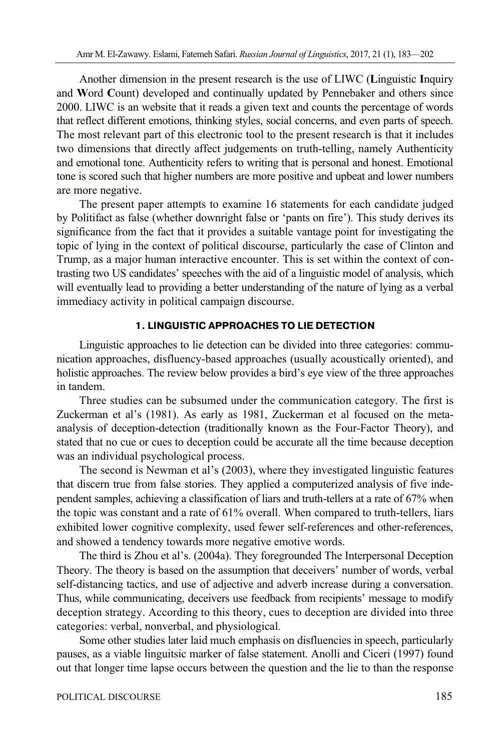Another dimension in the present research is the use of LIWC (**L**inguistic **I**nquiry and **W**ord **C**ount) developed and continually updated by Pennebaker and others since 2000. LIWC is an website that it reads a given text and counts the percentage of words that reflect different emotions, thinking styles, social concerns, and even parts of speech. The most relevant part of this electronic tool to the present research is that it includes two dimensions that directly affect judgements on truth-telling, namely Authenticity and emotional tone. Authenticity refers to writing that is personal and honest. Emotional tone is scored such that higher numbers are more positive and upbeat and lower numbers are more negative.

The present paper attempts to examine 16 statements for each candidate judged by Politifact as false (whether downright false or 'pants on fire'). This study derives its significance from the fact that it provides a suitable vantage point for investigating the topic of lying in the context of political discourse, particularly the case of Clinton and Trump, as a major human interactive encounter. This is set within the context of contrasting two US candidates' speeches with the aid of a linguistic model of analysis, which will eventually lead to providing a better understanding of the nature of lying as a verbal immediacy activity in political campaign discourse.

# **1. LINGUISTIC APPROACHES TO LIE DETECTION**

Linguistic approaches to lie detection can be divided into three categories: communication approaches, disfluency-based approaches (usually acoustically oriented), and holistic approaches. The review below provides a bird's eye view of the three approaches in tandem.

Three studies can be subsumed under the communication category. The first is Zuckerman et al's (1981). As early as 1981, Zuckerman et al focused on the metaanalysis of deception-detection (traditionally known as the Four-Factor Theory), and stated that no cue or cues to deception could be accurate all the time because deception was an individual psychological process.

The second is Newman et al's (2003), where they investigated linguistic features that discern true from false stories. They applied a computerized analysis of five independent samples, achieving a classification of liars and truth-tellers at a rate of 67% when the topic was constant and a rate of 61% overall. When compared to truth-tellers, liars exhibited lower cognitive complexity, used fewer self-references and other-references, and showed a tendency towards more negative emotive words.

The third is Zhou et al's. (2004a). They foregrounded The Interpersonal Deception Theory. The theory is based on the assumption that deceivers' number of words, verbal self-distancing tactics, and use of adjective and adverb increase during a conversation. Thus, while communicating, deceivers use feedback from recipients' message to modify deception strategy. According to this theory, cues to deception are divided into three categories: verbal, nonverbal, and physiological.

Some other studies later laid much emphasis on disfluencies in speech, particularly pauses, as a viable linguitsic marker of false statement. Anolli and Ciceri (1997) found out that longer time lapse occurs between the question and the lie to than the response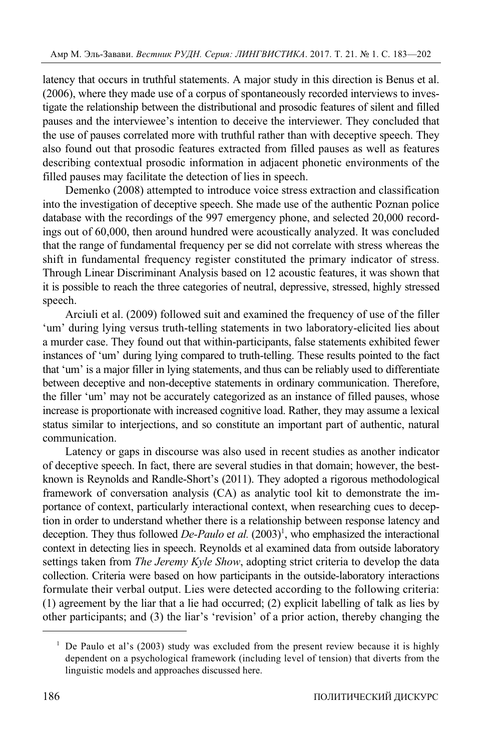latency that occurs in truthful statements. A major study in this direction is Benus et al. (2006), where they made use of a corpus of spontaneously recorded interviews to investigate the relationship between the distributional and prosodic features of silent and filled pauses and the interviewee's intention to deceive the interviewer. They concluded that the use of pauses correlated more with truthful rather than with deceptive speech. They also found out that prosodic features extracted from filled pauses as well as features describing contextual prosodic information in adjacent phonetic environments of the filled pauses may facilitate the detection of lies in speech.

Demenko (2008) attempted to introduce voice stress extraction and classification into the investigation of deceptive speech. She made use of the authentic Poznan police database with the recordings of the 997 emergency phone, and selected 20,000 recordings out of 60,000, then around hundred were acoustically analyzed. It was concluded that the range of fundamental frequency per se did not correlate with stress whereas the shift in fundamental frequency register constituted the primary indicator of stress. Through Linear Discriminant Analysis based on 12 acoustic features, it was shown that it is possible to reach the three categories of neutral, depressive, stressed, highly stressed speech.

Arciuli et al. (2009) followed suit and examined the frequency of use of the filler 'um' during lying versus truth-telling statements in two laboratory-elicited lies about a murder case. They found out that within-participants, false statements exhibited fewer instances of 'um' during lying compared to truth-telling. These results pointed to the fact that 'um' is a major filler in lying statements, and thus can be reliably used to differentiate between deceptive and non-deceptive statements in ordinary communication. Therefore, the filler 'um' may not be accurately categorized as an instance of filled pauses, whose increase is proportionate with increased cognitive load. Rather, they may assume a lexical status similar to interjections, and so constitute an important part of authentic, natural communication.

Latency or gaps in discourse was also used in recent studies as another indicator of deceptive speech. In fact, there are several studies in that domain; however, the bestknown is Reynolds and Randle-Short's (2011). They adopted a rigorous methodological framework of conversation analysis (CA) as analytic tool kit to demonstrate the importance of context, particularly interactional context, when researching cues to deception in order to understand whether there is a relationship between response latency and deception. They thus followed *De-Paulo et al.* (2003)<sup>1</sup>, who emphasized the interactional context in detecting lies in speech. Reynolds et al examined data from outside laboratory settings taken from *The Jeremy Kyle Show*, adopting strict criteria to develop the data collection. Criteria were based on how participants in the outside-laboratory interactions formulate their verbal output. Lies were detected according to the following criteria: (1) agreement by the liar that a lie had occurred; (2) explicit labelling of talk as lies by other participants; and (3) the liar's 'revision' of a prior action, thereby changing the

 $\overline{a}$ 

<sup>&</sup>lt;sup>1</sup> De Paulo et al's (2003) study was excluded from the present review because it is highly dependent on a psychological framework (including level of tension) that diverts from the linguistic models and approaches discussed here.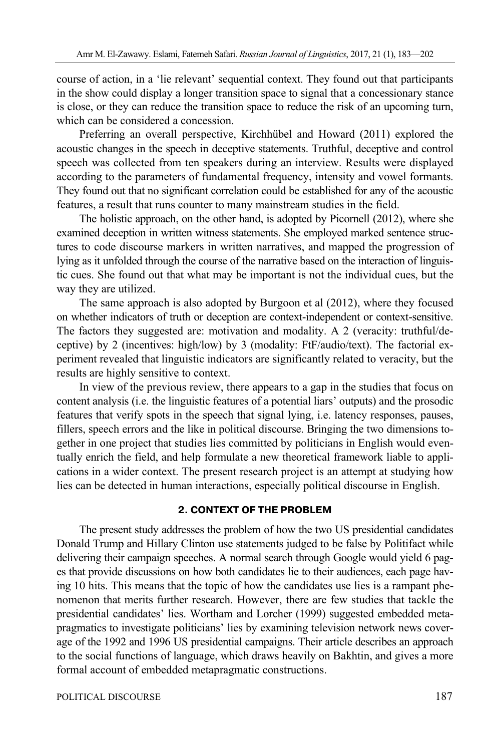course of action, in a 'lie relevant' sequential context. They found out that participants in the show could display a longer transition space to signal that a concessionary stance is close, or they can reduce the transition space to reduce the risk of an upcoming turn, which can be considered a concession.

Preferring an overall perspective, Kirchhübel and Howard (2011) explored the acoustic changes in the speech in deceptive statements. Truthful, deceptive and control speech was collected from ten speakers during an interview. Results were displayed according to the parameters of fundamental frequency, intensity and vowel formants. They found out that no significant correlation could be established for any of the acoustic features, a result that runs counter to many mainstream studies in the field.

The holistic approach, on the other hand, is adopted by Picornell (2012), where she examined deception in written witness statements. She employed marked sentence structures to code discourse markers in written narratives, and mapped the progression of lying as it unfolded through the course of the narrative based on the interaction of linguistic cues. She found out that what may be important is not the individual cues, but the way they are utilized.

The same approach is also adopted by Burgoon et al (2012), where they focused on whether indicators of truth or deception are context-independent or context-sensitive. The factors they suggested are: motivation and modality. A 2 (veracity: truthful/deceptive) by 2 (incentives: high/low) by 3 (modality: FtF/audio/text). The factorial experiment revealed that linguistic indicators are significantly related to veracity, but the results are highly sensitive to context.

In view of the previous review, there appears to a gap in the studies that focus on content analysis (i.e. the linguistic features of a potential liars' outputs) and the prosodic features that verify spots in the speech that signal lying, i.e. latency responses, pauses, fillers, speech errors and the like in political discourse. Bringing the two dimensions together in one project that studies lies committed by politicians in English would eventually enrich the field, and help formulate a new theoretical framework liable to applications in a wider context. The present research project is an attempt at studying how lies can be detected in human interactions, especially political discourse in English.

## **2. CONTEXT OF THE PROBLEM**

The present study addresses the problem of how the two US presidential candidates Donald Trump and Hillary Clinton use statements judged to be false by Politifact while delivering their campaign speeches. A normal search through Google would yield 6 pages that provide discussions on how both candidates lie to their audiences, each page having 10 hits. This means that the topic of how the candidates use lies is a rampant phenomenon that merits further research. However, there are few studies that tackle the presidential candidates' lies. Wortham and Lorcher (1999) suggested embedded metapragmatics to investigate politicians' lies by examining television network news coverage of the 1992 and 1996 US presidential campaigns. Their article describes an approach to the social functions of language, which draws heavily on Bakhtin, and gives a more formal account of embedded metapragmatic constructions.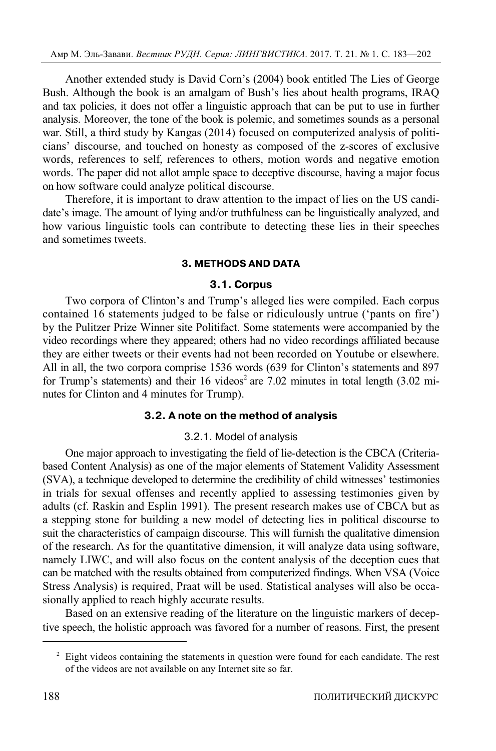Another extended study is David Corn's (2004) book entitled The Lies of George Bush. Although the book is an amalgam of Bush's lies about health programs, IRAQ and tax policies, it does not offer a linguistic approach that can be put to use in further analysis. Moreover, the tone of the book is polemic, and sometimes sounds as a personal war. Still, a third study by Kangas (2014) focused on computerized analysis of politicians' discourse, and touched on honesty as composed of the z-scores of exclusive words, references to self, references to others, motion words and negative emotion words. The paper did not allot ample space to deceptive discourse, having a major focus on how software could analyze political discourse.

Therefore, it is important to draw attention to the impact of lies on the US candidate's image. The amount of lying and/or truthfulness can be linguistically analyzed, and how various linguistic tools can contribute to detecting these lies in their speeches and sometimes tweets.

# **3. METHODS AND DATA**

# **3.1. Corpus**

Two corpora of Clinton's and Trump's alleged lies were compiled. Each corpus contained 16 statements judged to be false or ridiculously untrue ('pants on fire') by the Pulitzer Prize Winner site Politifact. Some statements were accompanied by the video recordings where they appeared; others had no video recordings affiliated because they are either tweets or their events had not been recorded on Youtube or elsewhere. All in all, the two corpora comprise 1536 words (639 for Clinton's statements and 897 for Trump's statements) and their 16 videos<sup>2</sup> are 7.02 minutes in total length  $(3.02 \text{ mi}$ nutes for Clinton and 4 minutes for Trump).

# **3.2. A note on the method of analysis**

# 3.2.1. Model of analysis

One major approach to investigating the field of lie-detection is the CBCA (Criteriabased Content Analysis) as one of the major elements of Statement Validity Assessment (SVA), a technique developed to determine the credibility of child witnesses' testimonies in trials for sexual offenses and recently applied to assessing testimonies given by adults (cf. Raskin and Esplin 1991). The present research makes use of CBCA but as a stepping stone for building a new model of detecting lies in political discourse to suit the characteristics of campaign discourse. This will furnish the qualitative dimension of the research. As for the quantitative dimension, it will analyze data using software, namely LIWC, and will also focus on the content analysis of the deception cues that can be matched with the results obtained from computerized findings. When VSA (Voice Stress Analysis) is required, Praat will be used. Statistical analyses will also be occasionally applied to reach highly accurate results.

Based on an extensive reading of the literature on the linguistic markers of deceptive speech, the holistic approach was favored for a number of reasons. First, the present

 $\overline{a}$ 

 $2$  Eight videos containing the statements in question were found for each candidate. The rest of the videos are not available on any Internet site so far.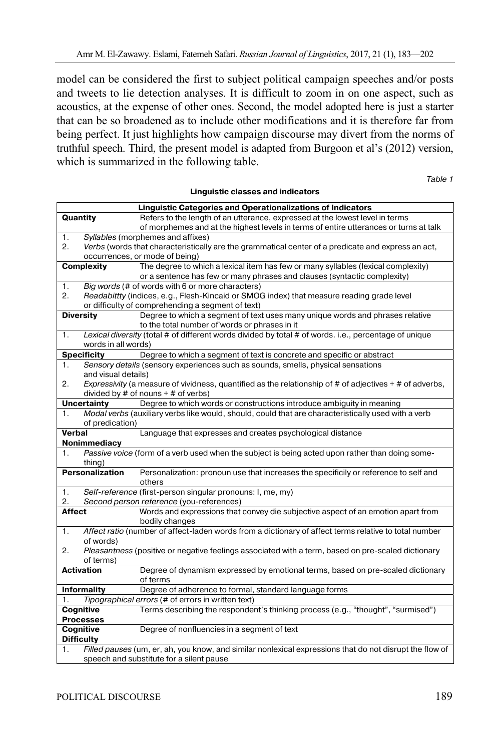model can be considered the first to subject political campaign speeches and/or posts and tweets to lie detection analyses. It is difficult to zoom in on one aspect, such as acoustics, at the expense of other ones. Second, the model adopted here is just a starter that can be so broadened as to include other modifications and it is therefore far from being perfect. It just highlights how campaign discourse may divert from the norms of truthful speech. Third, the present model is adapted from Burgoon et al's (2012) version, which is summarized in the following table.

| <b>Linguistic Categories and Operationalizations of Indicators</b>   |                                                                                                 |                                                                                                               |  |  |  |
|----------------------------------------------------------------------|-------------------------------------------------------------------------------------------------|---------------------------------------------------------------------------------------------------------------|--|--|--|
| Quantity                                                             |                                                                                                 | Refers to the length of an utterance, expressed at the lowest level in terms                                  |  |  |  |
|                                                                      |                                                                                                 | of morphemes and at the highest levels in terms of entire utterances or turns at talk                         |  |  |  |
| 1.                                                                   |                                                                                                 | Syllables (morphemes and affixes)                                                                             |  |  |  |
| 2.                                                                   |                                                                                                 | Verbs (words that characteristically are the grammatical center of a predicate and express an act,            |  |  |  |
|                                                                      |                                                                                                 | occurrences, or mode of being)                                                                                |  |  |  |
|                                                                      | <b>Complexity</b>                                                                               | The degree to which a lexical item has few or many syllables (lexical complexity)                             |  |  |  |
|                                                                      |                                                                                                 | or a sentence has few or many phrases and clauses (syntactic complexity)                                      |  |  |  |
| 1.                                                                   |                                                                                                 | Big words (# of words with 6 or more characters)                                                              |  |  |  |
| 2.                                                                   |                                                                                                 | Readabittty (indices, e.g., Flesh-Kincaid or SMOG index) that measure reading grade level                     |  |  |  |
|                                                                      |                                                                                                 | or difficulty of comprehending a segment of text)                                                             |  |  |  |
|                                                                      | <b>Diversity</b>                                                                                | Degree to which a segment of text uses many unique words and phrases relative                                 |  |  |  |
|                                                                      |                                                                                                 | to the total number of words or phrases in it                                                                 |  |  |  |
| 1.                                                                   |                                                                                                 | Lexical diversity (total # of different words divided by total # of words. i.e., percentage of unique         |  |  |  |
|                                                                      | words in all words)                                                                             |                                                                                                               |  |  |  |
|                                                                      | <b>Specificity</b>                                                                              | Degree to which a segment of text is concrete and specific or abstract                                        |  |  |  |
| 1.                                                                   |                                                                                                 | Sensory details (sensory experiences such as sounds, smells, physical sensations                              |  |  |  |
|                                                                      | and visual details)                                                                             |                                                                                                               |  |  |  |
| 2.                                                                   |                                                                                                 | Expressivity (a measure of vividness, quantified as the relationship of $#$ of adjectives $+$ $#$ of adverbs, |  |  |  |
|                                                                      |                                                                                                 | divided by $#$ of nouns $+$ $#$ of verbs)                                                                     |  |  |  |
|                                                                      | <b>Uncertainty</b>                                                                              | Degree to which words or constructions introduce ambiguity in meaning                                         |  |  |  |
| 1.                                                                   |                                                                                                 | Modal verbs (auxiliary verbs like would, should, could that are characteristically used with a verb           |  |  |  |
|                                                                      | of predication)                                                                                 |                                                                                                               |  |  |  |
| Verbal<br>Language that expresses and creates psychological distance |                                                                                                 |                                                                                                               |  |  |  |
| Nonimmediacy                                                         |                                                                                                 |                                                                                                               |  |  |  |
| 1.                                                                   | Passive voice (form of a verb used when the subject is being acted upon rather than doing some- |                                                                                                               |  |  |  |
|                                                                      | thing)                                                                                          |                                                                                                               |  |  |  |
|                                                                      | <b>Personalization</b>                                                                          |                                                                                                               |  |  |  |
|                                                                      |                                                                                                 | Personalization: pronoun use that increases the specificily or reference to self and                          |  |  |  |
|                                                                      |                                                                                                 | others                                                                                                        |  |  |  |
| 1.                                                                   |                                                                                                 | Self-reference (first-person singular pronouns: I, me, my)                                                    |  |  |  |
| 2.                                                                   |                                                                                                 | Second person reference (you-references)                                                                      |  |  |  |
| <b>Affect</b>                                                        |                                                                                                 | Words and expressions that convey die subjective aspect of an emotion apart from                              |  |  |  |
|                                                                      |                                                                                                 | bodily changes                                                                                                |  |  |  |
| 1.                                                                   |                                                                                                 | Affect ratio (number of affect-laden words from a dictionary of affect terms relative to total number         |  |  |  |
|                                                                      | of words)                                                                                       |                                                                                                               |  |  |  |
| 2.                                                                   |                                                                                                 | <i>Pleasantness</i> (positive or negative feelings associated with a term, based on pre-scaled dictionary     |  |  |  |
|                                                                      | of terms)                                                                                       |                                                                                                               |  |  |  |
|                                                                      | <b>Activation</b>                                                                               | Degree of dynamism expressed by emotional terms, based on pre-scaled dictionary                               |  |  |  |
|                                                                      |                                                                                                 | of terms                                                                                                      |  |  |  |
|                                                                      | <b>Informality</b>                                                                              | Degree of adherence to formal, standard language forms                                                        |  |  |  |
| 1.                                                                   |                                                                                                 | Tipographical errors (# of errors in written text)                                                            |  |  |  |
|                                                                      | Cognitive                                                                                       | Terms describing the respondent's thinking process (e.g., "thought", "surmised")                              |  |  |  |
|                                                                      | <b>Processes</b>                                                                                |                                                                                                               |  |  |  |
|                                                                      | Cognitive                                                                                       | Degree of nonfluencies in a segment of text                                                                   |  |  |  |
|                                                                      | <b>Difficulty</b>                                                                               |                                                                                                               |  |  |  |
| 1.                                                                   |                                                                                                 | Filled pauses (um, er, ah, you know, and similar nonlexical expressions that do not disrupt the flow of       |  |  |  |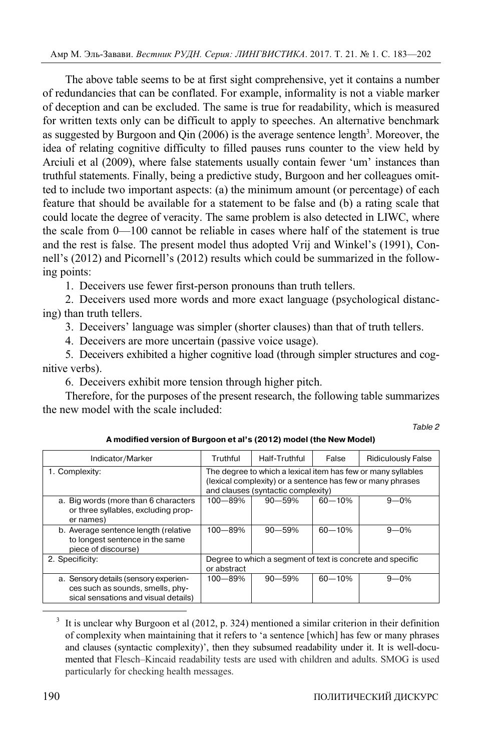The above table seems to be at first sight comprehensive, yet it contains a number of redundancies that can be conflated. For example, informality is not a viable marker of deception and can be excluded. The same is true for readability, which is measured for written texts only can be difficult to apply to speeches. An alternative benchmark as suggested by Burgoon and Qin  $(2006)$  is the average sentence length<sup>3</sup>. Moreover, the idea of relating cognitive difficulty to filled pauses runs counter to the view held by Arciuli et al (2009), where false statements usually contain fewer 'um' instances than truthful statements. Finally, being a predictive study, Burgoon and her colleagues omitted to include two important aspects: (a) the minimum amount (or percentage) of each feature that should be available for a statement to be false and (b) a rating scale that could locate the degree of veracity. The same problem is also detected in LIWC, where the scale from 0—100 cannot be reliable in cases where half of the statement is true and the rest is false. The present model thus adopted Vrij and Winkel's (1991), Connell's (2012) and Picornell's (2012) results which could be summarized in the following points:

1. Deceivers use fewer first-person pronouns than truth tellers.

2. Deceivers used more words and more exact language (psychological distancing) than truth tellers.

3. Deceivers' language was simpler (shorter clauses) than that of truth tellers.

4. Deceivers are more uncertain (passive voice usage).

5. Deceivers exhibited a higher cognitive load (through simpler structures and cognitive verbs).

6. Deceivers exhibit more tension through higher pitch.

Therefore, for the purposes of the present research, the following table summarizes the new model with the scale included:

Table 2

| Indicator/Marker                                                                                                  | Truthful                                                                                                                                                         | Half-Truthful                                              | False      | <b>Ridiculously False</b> |
|-------------------------------------------------------------------------------------------------------------------|------------------------------------------------------------------------------------------------------------------------------------------------------------------|------------------------------------------------------------|------------|---------------------------|
| 1. Complexity:                                                                                                    | The degree to which a lexical item has few or many syllables<br>(lexical complexity) or a sentence has few or many phrases<br>and clauses (syntactic complexity) |                                                            |            |                           |
| a. Big words (more than 6 characters<br>or three syllables, excluding prop-<br>er names)                          | $100 - 89%$                                                                                                                                                      | $90 - 59%$                                                 | $60 - 10%$ | $9 - 0\%$                 |
| b. Average sentence length (relative<br>to longest sentence in the same<br>piece of discourse)                    | $100 - 89%$                                                                                                                                                      | $90 - 59%$                                                 | $60 - 10%$ | $9 - 0\%$                 |
| 2. Specificity:                                                                                                   | or abstract                                                                                                                                                      | Degree to which a segment of text is concrete and specific |            |                           |
| a. Sensory details (sensory experien-<br>ces such as sounds, smells, phy-<br>sical sensations and visual details) | $100 - 89%$                                                                                                                                                      | $90 - 59%$                                                 | $60 - 10%$ | $9 - 0\%$                 |

**A modified version of Burgoon et al's (2012) model (the New Model)** 

 $\frac{1}{3}$  $3\,$  It is unclear why Burgoon et al (2012, p. 324) mentioned a similar criterion in their definition of complexity when maintaining that it refers to 'a sentence [which] has few or many phrases and clauses (syntactic complexity)', then they subsumed readability under it. It is well-documented that Flesch–Kincaid readability tests are used with children and adults. SMOG is used particularly for checking health messages.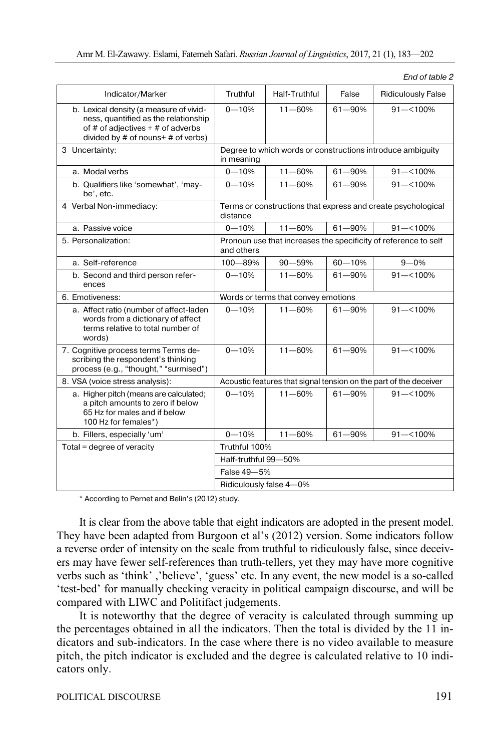| Indicator/Marker                                                                                                                                               | Truthful                                                                      | Half-Truthful                       | False       | <b>Ridiculously False</b>                                         |
|----------------------------------------------------------------------------------------------------------------------------------------------------------------|-------------------------------------------------------------------------------|-------------------------------------|-------------|-------------------------------------------------------------------|
| b. Lexical density (a measure of vivid-<br>ness, quantified as the relationship<br>of # of adjectives $+$ # of adverbs<br>divided by # of nouns+ $#$ of verbs) | $0 - 10%$                                                                     | $11 - 60%$                          | 61-90%      | $91 - 100\%$                                                      |
| 3 Uncertainty:                                                                                                                                                 | Degree to which words or constructions introduce ambiguity<br>in meaning      |                                     |             |                                                                   |
| a. Modal verbs                                                                                                                                                 | $0 - 10%$                                                                     | $11 - 60%$                          | 61-90%      | $91 - 100\%$                                                      |
| b. Qualifiers like 'somewhat', 'may-<br>be', etc.                                                                                                              | $0 - 10%$                                                                     | $11 - 60%$                          | 61-90%      | $91 - 100\%$                                                      |
| 4 Verbal Non-immediacy:                                                                                                                                        | distance                                                                      |                                     |             | Terms or constructions that express and create psychological      |
| a. Passive voice                                                                                                                                               | $0 - 10%$                                                                     | $11 - 60%$                          | 61-90%      | $91 - 100\%$                                                      |
| 5. Personalization:                                                                                                                                            | Pronoun use that increases the specificity of reference to self<br>and others |                                     |             |                                                                   |
| a. Self-reference                                                                                                                                              | 100-89%                                                                       | 90-59%                              | $60 - 10%$  | $9 - 0%$                                                          |
| b. Second and third person refer-<br>ences                                                                                                                     | $0 - 10%$                                                                     | $11 - 60%$                          | 61-90%      | $91 - 100\%$                                                      |
| 6. Emotiveness:                                                                                                                                                |                                                                               | Words or terms that convey emotions |             |                                                                   |
| a. Affect ratio (number of affect-laden<br>words from a dictionary of affect<br>terms relative to total number of<br>words)                                    | $0 - 10%$                                                                     | $11 - 60%$                          | 61-90%      | $91 - 100\%$                                                      |
| 7. Cognitive process terms Terms de-<br>scribing the respondent's thinking<br>process (e.g., "thought," "surmised")                                            | $0 - 10%$                                                                     | $11 - 60%$                          | 61-90%      | $91 - 100\%$                                                      |
| 8. VSA (voice stress analysis):                                                                                                                                |                                                                               |                                     |             | Acoustic features that signal tension on the part of the deceiver |
| a. Higher pitch (means are calculated;<br>a pitch amounts to zero if below<br>65 Hz for males and if below<br>100 Hz for females*)                             | $0 - 10%$                                                                     | $11 - 60%$                          | 61-90%      | $91 - 100\%$                                                      |
| b. Fillers, especially 'um'                                                                                                                                    | $0 - 10%$                                                                     | $11 - 60%$                          | $61 - 90\%$ | $91 - 100\%$                                                      |
| Total = degree of veracity                                                                                                                                     | Truthful 100%                                                                 |                                     |             |                                                                   |
|                                                                                                                                                                | Half-truthful 99-50%                                                          |                                     |             |                                                                   |
|                                                                                                                                                                | False 49-5%                                                                   |                                     |             |                                                                   |
|                                                                                                                                                                |                                                                               | Ridiculously false 4-0%             |             |                                                                   |
| * According to Pernet and Belin's (2012) study.                                                                                                                |                                                                               |                                     |             |                                                                   |

It is clear from the above table that eight indicators are adopted in the present model. They have been adapted from Burgoon et al's (2012) version. Some indicators follow a reverse order of intensity on the scale from truthful to ridiculously false, since deceivers may have fewer self-references than truth-tellers, yet they may have more cognitive verbs such as 'think' ,'believe', 'guess' etc. In any event, the new model is a so-called 'test-bed' for manually checking veracity in political campaign discourse, and will be compared with LIWC and Politifact judgements.

It is noteworthy that the degree of veracity is calculated through summing up the percentages obtained in all the indicators. Then the total is divided by the 11 indicators and sub-indicators. In the case where there is no video available to measure pitch, the pitch indicator is excluded and the degree is calculated relative to 10 indicators only.

End of table 2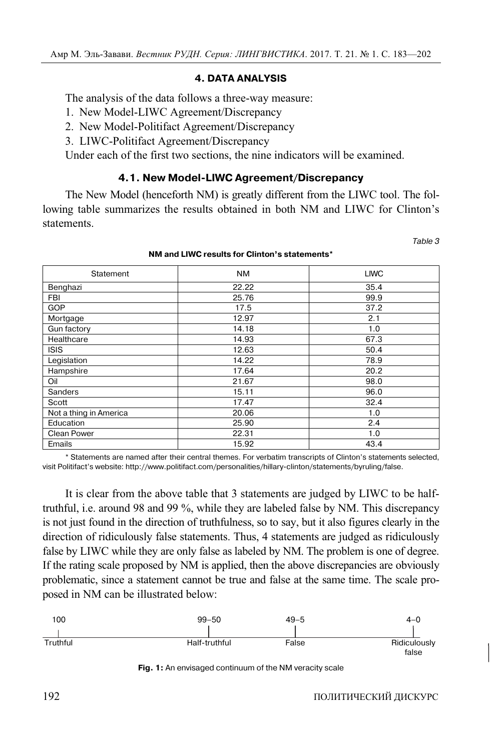# **4. DATA ANALYSIS**

The analysis of the data follows a three-way measure:

- 1. New Model-LIWC Agreement/Discrepancy
- 2. New Model-Politifact Agreement/Discrepancy
- 3. LIWC-Politifact Agreement/Discrepancy

Under each of the first two sections, the nine indicators will be examined.

# **4.1. New Model-LIWC Agreement/Discrepancy**

The New Model (henceforth NM) is greatly different from the LIWC tool. The following table summarizes the results obtained in both NM and LIWC for Clinton's statements.

| Statement              | NM.   | <b>LIWC</b> |
|------------------------|-------|-------------|
| Benghazi               | 22.22 | 35.4        |
| FBI                    | 25.76 | 99.9        |
| <b>GOP</b>             | 17.5  | 37.2        |
| Mortgage               | 12.97 | 2.1         |
| Gun factory            | 14.18 | 1.0         |
| Healthcare             | 14.93 | 67.3        |
| <b>ISIS</b>            | 12.63 | 50.4        |
| Legislation            | 14.22 | 78.9        |
| Hampshire              | 17.64 | 20.2        |
| Oil                    | 21.67 | 98.0        |
| Sanders                | 15.11 | 96.0        |
| Scott                  | 17.47 | 32.4        |
| Not a thing in America | 20.06 | 1.0         |
| Education              | 25.90 | 2.4         |
| Clean Power            | 22.31 | 1.0         |
| Emails                 | 15.92 | 43.4        |

#### **NM and LIWC results for Clinton's statements\***

\* Statements are named after their central themes. For verbatim transcripts of Clinton's statements selected, visit Politifact's website: http://www.politifact.com/personalities/hillary-clinton/statements/byruling/false.

It is clear from the above table that 3 statements are judged by LIWC to be halftruthful, i.e. around 98 and 99 %, while they are labeled false by NM. This discrepancy is not just found in the direction of truthfulness, so to say, but it also figures clearly in the direction of ridiculously false statements. Thus, 4 statements are judged as ridiculously false by LIWC while they are only false as labeled by NM. The problem is one of degree. If the rating scale proposed by NM is applied, then the above discrepancies are obviously problematic, since a statement cannot be true and false at the same time. The scale proposed in NM can be illustrated below:



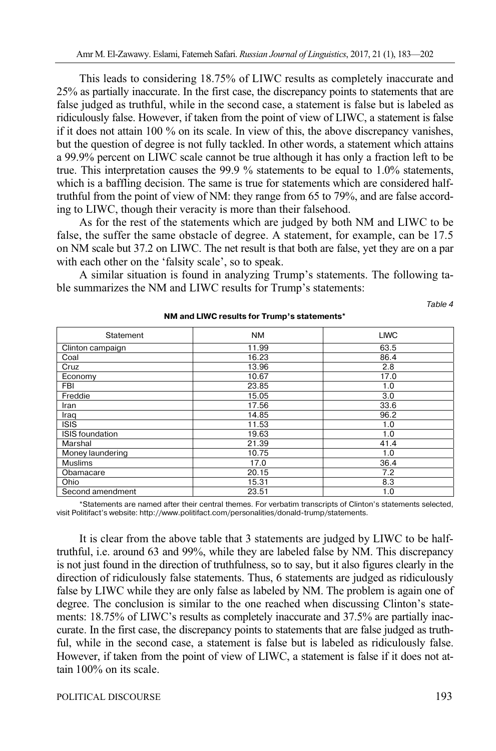This leads to considering 18.75% of LIWC results as completely inaccurate and 25% as partially inaccurate. In the first case, the discrepancy points to statements that are false judged as truthful, while in the second case, a statement is false but is labeled as ridiculously false. However, if taken from the point of view of LIWC, a statement is false if it does not attain 100 % on its scale. In view of this, the above discrepancy vanishes, but the question of degree is not fully tackled. In other words, a statement which attains a 99.9% percent on LIWC scale cannot be true although it has only a fraction left to be true. This interpretation causes the 99.9 % statements to be equal to 1.0% statements, which is a baffling decision. The same is true for statements which are considered halftruthful from the point of view of NM: they range from 65 to 79%, and are false according to LIWC, though their veracity is more than their falsehood.

As for the rest of the statements which are judged by both NM and LIWC to be false, the suffer the same obstacle of degree. A statement, for example, can be 17.5 on NM scale but 37.2 on LIWC. The net result is that both are false, yet they are on a par with each other on the 'falsity scale', so to speak.

A similar situation is found in analyzing Trump's statements. The following table summarizes the NM and LIWC results for Trump's statements:

Table 4

| Statement              | <b>NM</b> | <b>LIWC</b> |
|------------------------|-----------|-------------|
| Clinton campaign       | 11.99     | 63.5        |
| Coal                   | 16.23     | 86.4        |
| Cruz                   | 13.96     | 2.8         |
| Economy                | 10.67     | 17.0        |
| <b>FBI</b>             | 23.85     | 1.0         |
| Freddie                | 15.05     | 3.0         |
| Iran                   | 17.56     | 33.6        |
| Iraq                   | 14.85     | 96.2        |
| <b>ISIS</b>            | 11.53     | 1.0         |
| <b>ISIS</b> foundation | 19.63     | 1.0         |
| Marshal                | 21.39     | 41.4        |
| Money laundering       | 10.75     | 1.0         |
| <b>Muslims</b>         | 17.0      | 36.4        |
| Obamacare              | 20.15     | 7.2         |
| Ohio                   | 15.31     | 8.3         |
| Second amendment       | 23.51     | 1.0         |

**NM and LIWC results for Trump's statements\*** 

\*Statements are named after their central themes. For verbatim transcripts of Clinton's statements selected, visit Politifact's website: http://www.politifact.com/personalities/donald-trump/statements.

It is clear from the above table that 3 statements are judged by LIWC to be halftruthful, i.e. around 63 and 99%, while they are labeled false by NM. This discrepancy is not just found in the direction of truthfulness, so to say, but it also figures clearly in the direction of ridiculously false statements. Thus, 6 statements are judged as ridiculously false by LIWC while they are only false as labeled by NM. The problem is again one of degree. The conclusion is similar to the one reached when discussing Clinton's statements: 18.75% of LIWC's results as completely inaccurate and 37.5% are partially inaccurate. In the first case, the discrepancy points to statements that are false judged as truthful, while in the second case, a statement is false but is labeled as ridiculously false. However, if taken from the point of view of LIWC, a statement is false if it does not attain 100% on its scale.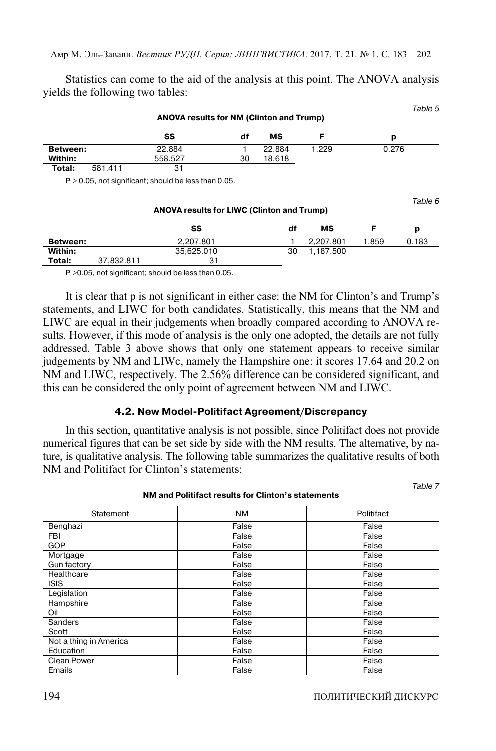Statistics can come to the aid of the analysis at this point. The ANOVA analysis yields the following two tables:

| <b>ANOVA results for NM (Clinton and Trump)</b> |         |         |    | i avit J |      |       |
|-------------------------------------------------|---------|---------|----|----------|------|-------|
|                                                 |         | SS      | df | МS       |      | р     |
| <b>Between:</b>                                 |         | 22.884  |    | 22.884   | .229 | 0.276 |
| Within:                                         |         | 558.527 | 30 | 18.618   |      |       |
| Total:                                          | 581.411 | 31      |    |          |      |       |

 $P > 0.05$ , not significant; should be less than 0.05.

**ANOVA results for LIWC (Clinton and Trump) SS df MS F p Between:** 2,207.801 1 2,207.801 1.859 0.183 **Within:** 35,625.010 30 1,187.500 **Total:** 37,832,811 31

P >0.05, not significant; should be less than 0.05.

It is clear that p is not significant in either case: the NM for Clinton's and Trump's statements, and LIWC for both candidates. Statistically, this means that the NM and LIWC are equal in their judgements when broadly compared according to ANOVA results. However, if this mode of analysis is the only one adopted, the details are not fully addressed. Table 3 above shows that only one statement appears to receive similar judgements by NM and LIWc, namely the Hampshire one: it scores 17.64 and 20.2 on NM and LIWC, respectively. The 2.56% difference can be considered significant, and this can be considered the only point of agreement between NM and LIWC.

## **4.2. New Model-Politifact Agreement/Discrepancy**

In this section, quantitative analysis is not possible, since Politifact does not provide numerical figures that can be set side by side with the NM results. The alternative, by nature, is qualitative analysis. The following table summarizes the qualitative results of both NM and Politifact for Clinton's statements:

Statement | NM NM Politifact Benghazi False False FBI False False GOP False False Mortgage False False Gun factory **False** False **False** False **False** Healthcare False False False False False False False False False False False False False False False False False ISIS False False False False False False Legislation **False** False False False Hampshire **False** False False False False Oil **False** False False False False Sanders False False False False False Scott **False** False False False False Not a thing in America **False** False False Education False False Clean Power **False** False False False Emails False False False False False

**NM and Politifact results for Clinton's statements** 

Table 7

 $Table 5$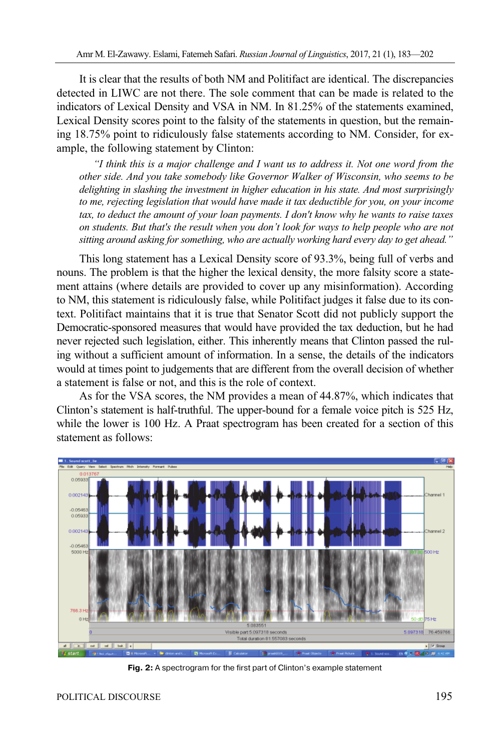It is clear that the results of both NM and Politifact are identical. The discrepancies detected in LIWC are not there. The sole comment that can be made is related to the indicators of Lexical Density and VSA in NM. In 81.25% of the statements examined, Lexical Density scores point to the falsity of the statements in question, but the remaining 18.75% point to ridiculously false statements according to NM. Consider, for example, the following statement by Clinton:

*"I think this is a major challenge and I want us to address it. Not one word from the other side. And you take somebody like Governor Walker of Wisconsin, who seems to be delighting in slashing the investment in higher education in his state. And most surprisingly to me, rejecting legislation that would have made it tax deductible for you, on your income tax, to deduct the amount of your loan payments. I don't know why he wants to raise taxes on students. But that's the result when you don't look for ways to help people who are not sitting around asking for something, who are actually working hard every day to get ahead."* 

This long statement has a Lexical Density score of 93.3%, being full of verbs and nouns. The problem is that the higher the lexical density, the more falsity score a statement attains (where details are provided to cover up any misinformation). According to NM, this statement is ridiculously false, while Politifact judges it false due to its context. Politifact maintains that it is true that Senator Scott did not publicly support the Democratic-sponsored measures that would have provided the tax deduction, but he had never rejected such legislation, either. This inherently means that Clinton passed the ruling without a sufficient amount of information. In a sense, the details of the indicators would at times point to judgements that are different from the overall decision of whether a statement is false or not, and this is the role of context.

As for the VSA scores, the NM provides a mean of 44.87%, which indicates that Clinton's statement is half-truthful. The upper-bound for a female voice pitch is 525 Hz, while the lower is 100 Hz. A Praat spectrogram has been created for a section of this statement as follows:



**Fig. 2:** A spectrogram for the first part of Clinton's example statement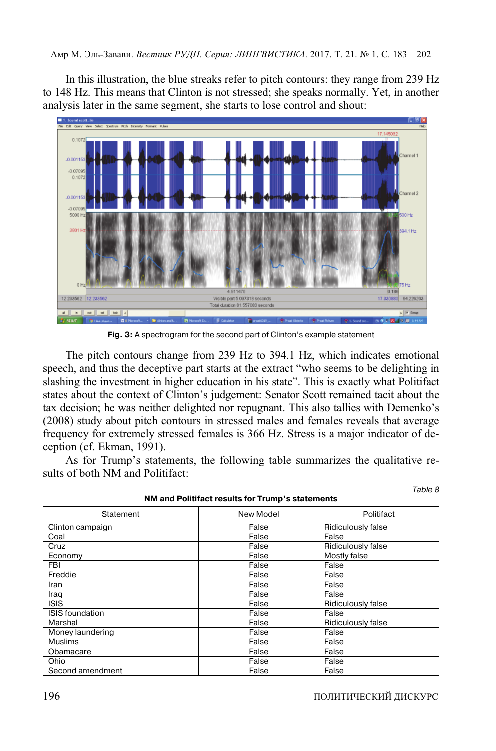In this illustration, the blue streaks refer to pitch contours: they range from 239 Hz to 148 Hz. This means that Clinton is not stressed; she speaks normally. Yet, in another analysis later in the same segment, she starts to lose control and shout:



**Fig. 3:** A spectrogram for the second part of Clinton's example statement

The pitch contours change from 239 Hz to 394.1 Hz, which indicates emotional speech, and thus the deceptive part starts at the extract "who seems to be delighting in slashing the investment in higher education in his state". This is exactly what Politifact states about the context of Clinton's judgement: Senator Scott remained tacit about the tax decision; he was neither delighted nor repugnant. This also tallies with Demenko's (2008) study about pitch contours in stressed males and females reveals that average frequency for extremely stressed females is 366 Hz. Stress is a major indicator of deception (cf. Ekman, 1991).

As for Trump's statements, the following table summarizes the qualitative results of both NM and Politifact:

| NM and Political results for Trump's statements |           |                           |  |  |  |
|-------------------------------------------------|-----------|---------------------------|--|--|--|
| Statement                                       | New Model | Politifact                |  |  |  |
| Clinton campaign                                | False     | Ridiculously false        |  |  |  |
| Coal                                            | False     | False                     |  |  |  |
| Cruz                                            | False     | Ridiculously false        |  |  |  |
| Economy                                         | False     | Mostly false              |  |  |  |
| FBI                                             | False     | False                     |  |  |  |
| Freddie                                         | False     | False                     |  |  |  |
| Iran                                            | False     | False                     |  |  |  |
| Iraq                                            | False     | False                     |  |  |  |
| <b>ISIS</b>                                     | False     | Ridiculously false        |  |  |  |
| <b>ISIS</b> foundation                          | False     | False                     |  |  |  |
| Marshal                                         | False     | <b>Ridiculously false</b> |  |  |  |
| Money laundering                                | False     | False                     |  |  |  |
| <b>Muslims</b>                                  | False     | False                     |  |  |  |
| Obamacare                                       | False     | False                     |  |  |  |
| <b>Ohio</b>                                     | False     | False                     |  |  |  |
| Second amendment                                | False     | False                     |  |  |  |

**NM and Politifact results for Trump's statements**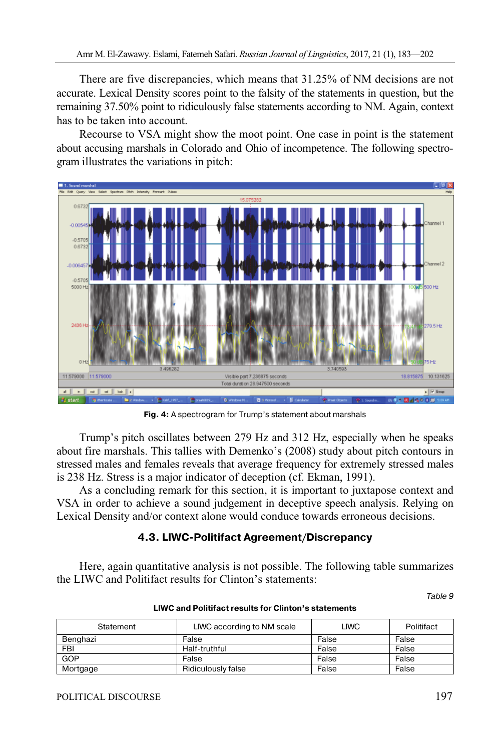There are five discrepancies, which means that 31.25% of NM decisions are not accurate. Lexical Density scores point to the falsity of the statements in question, but the remaining 37.50% point to ridiculously false statements according to NM. Again, context has to be taken into account.

Recourse to VSA might show the moot point. One case in point is the statement about accusing marshals in Colorado and Ohio of incompetence. The following spectrogram illustrates the variations in pitch:



**Fig. 4:** A spectrogram for Trump's statement about marshals

Trump's pitch oscillates between 279 Hz and 312 Hz, especially when he speaks about fire marshals. This tallies with Demenko's (2008) study about pitch contours in stressed males and females reveals that average frequency for extremely stressed males is 238 Hz. Stress is a major indicator of deception (cf. Ekman, 1991).

As a concluding remark for this section, it is important to juxtapose context and VSA in order to achieve a sound judgement in deceptive speech analysis. Relying on Lexical Density and/or context alone would conduce towards erroneous decisions.

# **4.3. LIWC-Politifact Agreement/Discrepancy**

Here, again quantitative analysis is not possible. The following table summarizes the LIWC and Politifact results for Clinton's statements:

Table 9

| Statement | LIWC according to NM scale | LIWC  | Politifact |
|-----------|----------------------------|-------|------------|
| Benghazi  | False                      | False | False      |
| FBI       | Half-truthful              | False | False      |
| GOP       | False                      | False | False      |
| Mortgage  | Ridiculously false         | False | False      |

## **LIWC and Politifact results for Clinton's statements**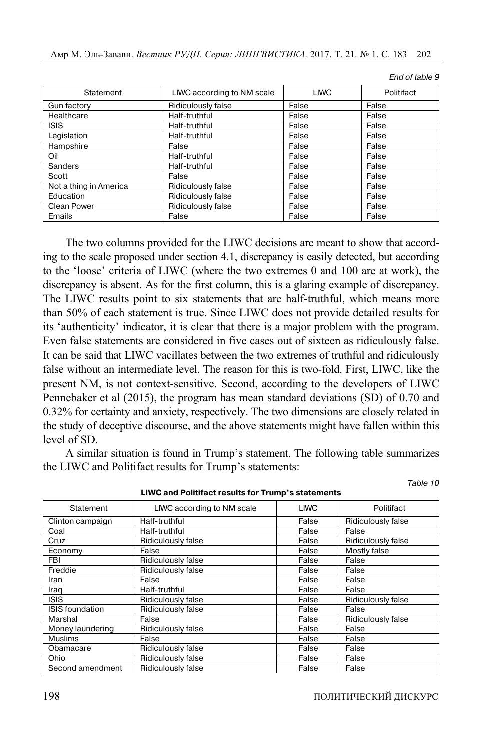| Statement              | LIWC according to NM scale | <b>LIWC</b> | Politifact |
|------------------------|----------------------------|-------------|------------|
| Gun factory            | <b>Ridiculously false</b>  | False       | False      |
| Healthcare             | Half-truthful              | False       | False      |
| <b>ISIS</b>            | Half-truthful              | False       | False      |
| Legislation            | Half-truthful              | False       | False      |
| Hampshire              | False                      | False       | False      |
| Oil                    | Half-truthful              | False       | False      |
| Sanders                | Half-truthful              | False       | False      |
| Scott                  | False                      | False       | False      |
| Not a thing in America | Ridiculously false         | False       | False      |
| Education              | Ridiculously false         | False       | False      |
| <b>Clean Power</b>     | Ridiculously false         | False       | False      |
| Emails                 | False                      | False       | False      |

The two columns provided for the LIWC decisions are meant to show that according to the scale proposed under section 4.1, discrepancy is easily detected, but according to the 'loose' criteria of LIWC (where the two extremes 0 and 100 are at work), the discrepancy is absent. As for the first column, this is a glaring example of discrepancy. The LIWC results point to six statements that are half-truthful, which means more than 50% of each statement is true. Since LIWC does not provide detailed results for its 'authenticity' indicator, it is clear that there is a major problem with the program. Even false statements are considered in five cases out of sixteen as ridiculously false. It can be said that LIWC vacillates between the two extremes of truthful and ridiculously false without an intermediate level. The reason for this is two-fold. First, LIWC, like the present NM, is not context-sensitive. Second, according to the developers of LIWC Pennebaker et al (2015), the program has mean standard deviations (SD) of 0.70 and 0.32% for certainty and anxiety, respectively. The two dimensions are closely related in the study of deceptive discourse, and the above statements might have fallen within this level of SD.

A similar situation is found in Trump's statement. The following table summarizes the LIWC and Politifact results for Trump's statements:

| Live and Fundact results for Trump 3 statements |                            |             |                           |  |  |  |
|-------------------------------------------------|----------------------------|-------------|---------------------------|--|--|--|
| Statement                                       | LIWC according to NM scale | <b>LIWC</b> | Politifact                |  |  |  |
| Clinton campaign                                | Half-truthful              | False       | <b>Ridiculously false</b> |  |  |  |
| Coal                                            | Half-truthful              | False       | False                     |  |  |  |
| Cruz                                            | Ridiculously false         | False       | Ridiculously false        |  |  |  |
| Economy                                         | False                      | False       | Mostly false              |  |  |  |
| FBI                                             | Ridiculously false         | False       | False                     |  |  |  |
| Freddie                                         | Ridiculously false         | False       | False                     |  |  |  |
| Iran                                            | False                      | False       | False                     |  |  |  |
| Iraq                                            | Half-truthful              | False       | False                     |  |  |  |
| <b>ISIS</b>                                     | Ridiculously false         | False       | <b>Ridiculously false</b> |  |  |  |
| <b>ISIS</b> foundation                          | Ridiculously false         | False       | False                     |  |  |  |
| Marshal                                         | False                      | False       | <b>Ridiculously false</b> |  |  |  |
| Money laundering                                | Ridiculously false         | False       | False                     |  |  |  |
| <b>Muslims</b>                                  | False                      | False       | False                     |  |  |  |
| Obamacare                                       | Ridiculously false         | False       | False                     |  |  |  |
| Ohio                                            | Ridiculously false         | False       | False                     |  |  |  |
| Second amendment                                | Ridiculously false         | False       | False                     |  |  |  |

**LIWC and Politifact results for Trump's statements** 

End of table 9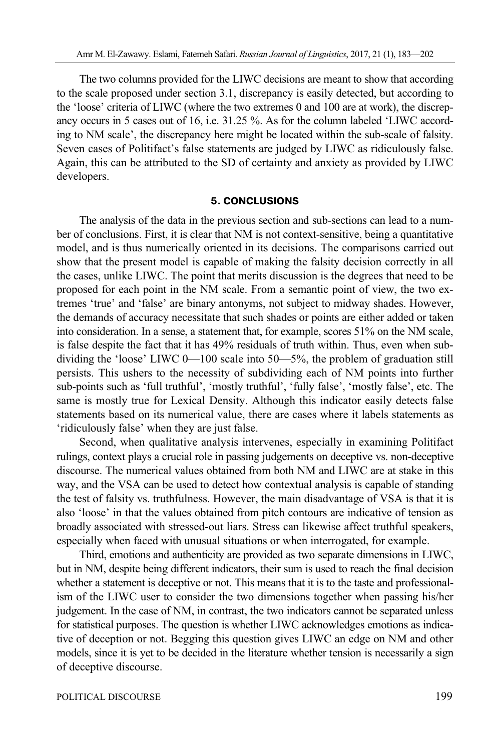The two columns provided for the LIWC decisions are meant to show that according to the scale proposed under section 3.1, discrepancy is easily detected, but according to the 'loose' criteria of LIWC (where the two extremes 0 and 100 are at work), the discrepancy occurs in 5 cases out of 16, i.e. 31.25 %. As for the column labeled 'LIWC according to NM scale', the discrepancy here might be located within the sub-scale of falsity. Seven cases of Politifact's false statements are judged by LIWC as ridiculously false. Again, this can be attributed to the SD of certainty and anxiety as provided by LIWC developers.

## **5. CONCLUSIONS**

The analysis of the data in the previous section and sub-sections can lead to a number of conclusions. First, it is clear that NM is not context-sensitive, being a quantitative model, and is thus numerically oriented in its decisions. The comparisons carried out show that the present model is capable of making the falsity decision correctly in all the cases, unlike LIWC. The point that merits discussion is the degrees that need to be proposed for each point in the NM scale. From a semantic point of view, the two extremes 'true' and 'false' are binary antonyms, not subject to midway shades. However, the demands of accuracy necessitate that such shades or points are either added or taken into consideration. In a sense, a statement that, for example, scores 51% on the NM scale, is false despite the fact that it has 49% residuals of truth within. Thus, even when subdividing the 'loose' LIWC 0—100 scale into 50—5%, the problem of graduation still persists. This ushers to the necessity of subdividing each of NM points into further sub-points such as 'full truthful', 'mostly truthful', 'fully false', 'mostly false', etc. The same is mostly true for Lexical Density. Although this indicator easily detects false statements based on its numerical value, there are cases where it labels statements as 'ridiculously false' when they are just false.

Second, when qualitative analysis intervenes, especially in examining Politifact rulings, context plays a crucial role in passing judgements on deceptive vs. non-deceptive discourse. The numerical values obtained from both NM and LIWC are at stake in this way, and the VSA can be used to detect how contextual analysis is capable of standing the test of falsity vs. truthfulness. However, the main disadvantage of VSA is that it is also 'loose' in that the values obtained from pitch contours are indicative of tension as broadly associated with stressed-out liars. Stress can likewise affect truthful speakers, especially when faced with unusual situations or when interrogated, for example.

Third, emotions and authenticity are provided as two separate dimensions in LIWC, but in NM, despite being different indicators, their sum is used to reach the final decision whether a statement is deceptive or not. This means that it is to the taste and professionalism of the LIWC user to consider the two dimensions together when passing his/her judgement. In the case of NM, in contrast, the two indicators cannot be separated unless for statistical purposes. The question is whether LIWC acknowledges emotions as indicative of deception or not. Begging this question gives LIWC an edge on NM and other models, since it is yet to be decided in the literature whether tension is necessarily a sign of deceptive discourse.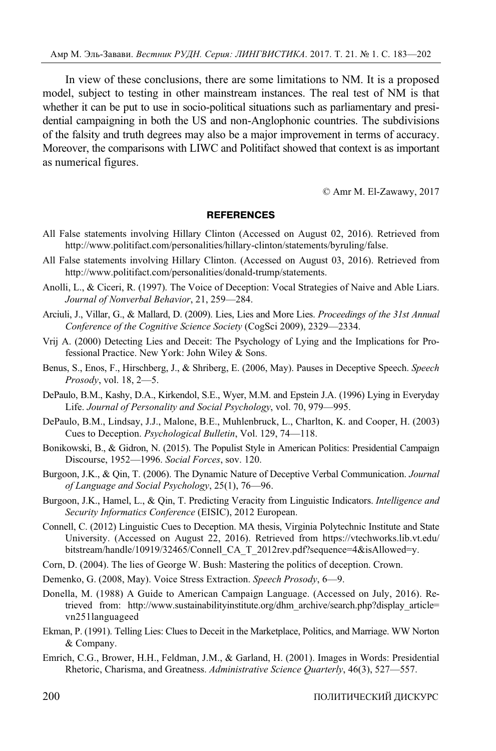In view of these conclusions, there are some limitations to NM. It is a proposed model, subject to testing in other mainstream instances. The real test of NM is that whether it can be put to use in socio-political situations such as parliamentary and presidential campaigning in both the US and non-Anglophonic countries. The subdivisions of the falsity and truth degrees may also be a major improvement in terms of accuracy. Moreover, the comparisons with LIWC and Politifact showed that context is as important as numerical figures.

© Amr M. El-Zawawy, 2017

#### **REFERENCES**

- All False statements involving Hillary Clinton (Accessed on August 02, 2016). Retrieved from http://www.politifact.com/personalities/hillary-clinton/statements/byruling/false.
- All False statements involving Hillary Clinton. (Accessed on August 03, 2016). Retrieved from http://www.politifact.com/personalities/donald-trump/statements.
- Anolli, L., & Ciceri, R. (1997). The Voice of Deception: Vocal Strategies of Naive and Able Liars. *Journal of Nonverbal Behavior*, 21, 259—284.
- Arciuli, J., Villar, G., & Mallard, D. (2009). Lies, Lies and More Lies. *Proceedings of the 31st Annual Conference of the Cognitive Science Society* (CogSci 2009), 2329—2334.
- Vrij A. (2000) Detecting Lies and Deceit: The Psychology of Lying and the Implications for Professional Practice. New York: John Wiley & Sons.
- Benus, S., Enos, F., Hirschberg, J., & Shriberg, E. (2006, May). Pauses in Deceptive Speech. *Speech Prosody*, vol. 18, 2—5.
- DePaulo, B.M., Kashy, D.A., Kirkendol, S.E., Wyer, M.M. and Epstein J.A. (1996) Lying in Everyday Life. *Journal of Personality and Social Psychology*, vol. 70, 979—995.
- DePaulo, B.M., Lindsay, J.J., Malone, B.E., Muhlenbruck, L., Charlton, K. and Cooper, H. (2003) Cues to Deception. *Psychological Bulletin*, Vol. 129, 74—118.
- Bonikowski, B., & Gidron, N. (2015). The Populist Style in American Politics: Presidential Campaign Discourse, 1952—1996. *Social Forces*, sov. 120.
- Burgoon, J.K., & Qin, T. (2006). The Dynamic Nature of Deceptive Verbal Communication. *Journal of Language and Social Psychology*, 25(1), 76—96.
- Burgoon, J.K., Hamel, L., & Qin, T. Predicting Veracity from Linguistic Indicators. *Intelligence and Security Informatics Conference* (EISIC), 2012 European.
- Connell, C. (2012) Linguistic Cues to Deception. MA thesis, Virginia Polytechnic Institute and State University. (Accessed on August 22, 2016). Retrieved from https://vtechworks.lib.vt.edu/ bitstream/handle/10919/32465/Connell\_CA\_T\_2012rev.pdf?sequence=4&isAllowed=y.
- Corn, D. (2004). The lies of George W. Bush: Mastering the politics of deception. Crown.
- Demenko, G. (2008, May). Voice Stress Extraction. *Speech Prosody*, 6—9.
- Donella, M. (1988) A Guide to American Campaign Language. (Accessed on July, 2016). Retrieved from: http://www.sustainabilityinstitute.org/dhm\_archive/search.php?display\_article= vn251languageed
- Ekman, P. (1991). Telling Lies: Clues to Deceit in the Marketplace, Politics, and Marriage. WW Norton & Company.
- Emrich, C.G., Brower, H.H., Feldman, J.M., & Garland, H. (2001). Images in Words: Presidential Rhetoric, Charisma, and Greatness. *Administrative Science Quarterly*, 46(3), 527—557.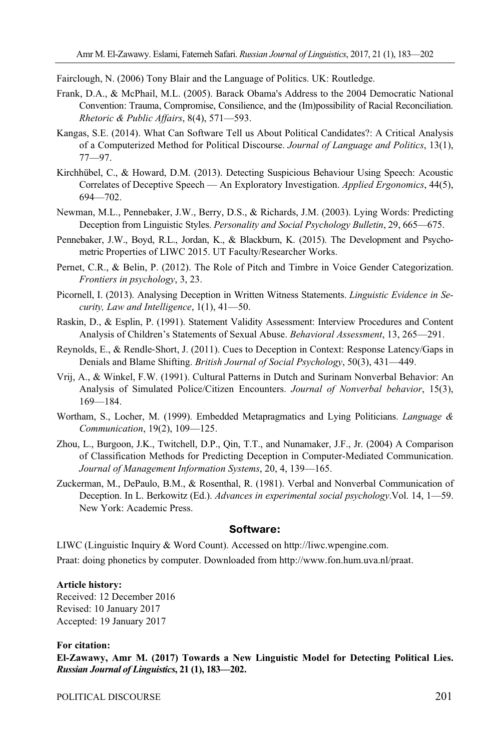Fairclough, N. (2006) Tony Blair and the Language of Politics. UK: Routledge.

- Frank, D.A., & McPhail, M.L. (2005). Barack Obama's Address to the 2004 Democratic National Convention: Trauma, Compromise, Consilience, and the (Im)possibility of Racial Reconciliation. *Rhetoric & Public Affairs*, 8(4), 571—593.
- Kangas, S.E. (2014). What Can Software Tell us About Political Candidates?: A Critical Analysis of a Computerized Method for Political Discourse. *Journal of Language and Politics*, 13(1), 77—97.
- Kirchhübel, C., & Howard, D.M. (2013). Detecting Suspicious Behaviour Using Speech: Acoustic Correlates of Deceptive Speech — An Exploratory Investigation. *Applied Ergonomics*, 44(5), 694—702.
- Newman, M.L., Pennebaker, J.W., Berry, D.S., & Richards, J.M. (2003). Lying Words: Predicting Deception from Linguistic Styles. *Personality and Social Psychology Bulletin*, 29, 665—675.
- Pennebaker, J.W., Boyd, R.L., Jordan, K., & Blackburn, K. (2015). The Development and Psychometric Properties of LIWC 2015. UT Faculty/Researcher Works.
- Pernet, C.R., & Belin, P. (2012). The Role of Pitch and Timbre in Voice Gender Categorization. *Frontiers in psychology*, 3, 23.
- Picornell, I. (2013). Analysing Deception in Written Witness Statements. *Linguistic Evidence in Security, Law and Intelligence*, 1(1), 41—50.
- Raskin, D., & Esplin, P. (1991). Statement Validity Assessment: Interview Procedures and Content Analysis of Children's Statements of Sexual Abuse. *Behavioral Assessment*, 13, 265—291.
- Reynolds, E., & Rendle‐Short, J. (2011). Cues to Deception in Context: Response Latency/Gaps in Denials and Blame Shifting. *British Journal of Social Psychology*, 50(3), 431—449.
- Vrij, A., & Winkel, F.W. (1991). Cultural Patterns in Dutch and Surinam Nonverbal Behavior: An Analysis of Simulated Police/Citizen Encounters. *Journal of Nonverbal behavior*, 15(3), 169—184.
- Wortham, S., Locher, M. (1999). Embedded Metapragmatics and Lying Politicians. *Language & Communication*, 19(2), 109—125.
- Zhou, L., Burgoon, J.K., Twitchell, D.P., Qin, T.T., and Nunamaker, J.F., Jr. (2004) A Comparison of Classification Methods for Predicting Deception in Computer-Mediated Communication. *Journal of Management Information Systems*, 20, 4, 139—165.
- Zuckerman, M., DePaulo, B.M., & Rosenthal, R. (1981). Verbal and Nonverbal Communication of Deception. In L. Berkowitz (Ed.). *Advances in experimental social psychology*.Vol. 14, 1—59. New York: Academic Press.

## **Software:**

LIWC (Linguistic Inquiry & Word Count). Accessed on http://liwc.wpengine.com.

Praat: doing phonetics by computer. Downloaded from http://www.fon.hum.uva.nl/praat.

#### **Article history:**

Received: 12 December 2016 Revised: 10 January 2017 Accepted: 19 January 2017

#### **For citation:**

**El-Zawawy, Amr M. (2017) Towards a New Linguistic Model for Detecting Political Lies.**  *Russian Journal of Linguistics***, 21 (1), 183—202.**